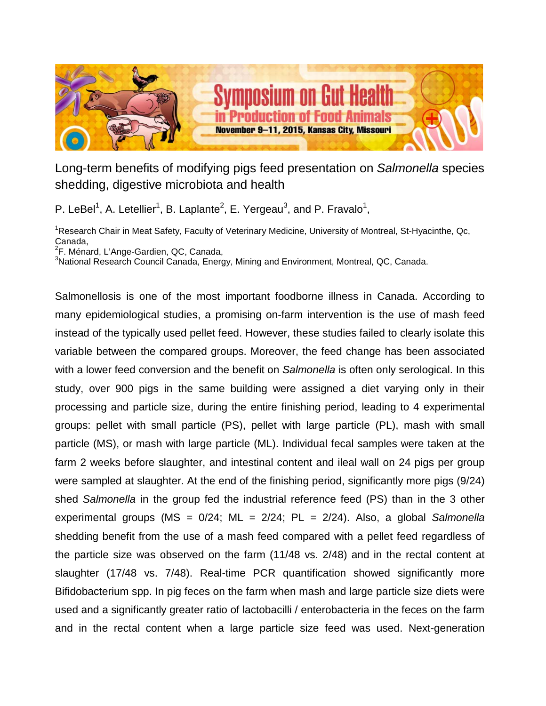

Long-term benefits of modifying pigs feed presentation on *Salmonella* species shedding, digestive microbiota and health

P. LeBel<sup>1</sup>, A. Letellier<sup>1</sup>, B. Laplante<sup>2</sup>, E. Yergeau<sup>3</sup>, and P. Fravalo<sup>1</sup>,

<sup>1</sup>Research Chair in Meat Safety, Faculty of Veterinary Medicine, University of Montreal, St-Hyacinthe, Qc, Canada,

<sup>2</sup>F. Ménard, L'Ange-Gardien, QC, Canada,

<sup>3</sup>National Research Council Canada, Energy, Mining and Environment, Montreal, QC, Canada.

Salmonellosis is one of the most important foodborne illness in Canada. According to many epidemiological studies, a promising on-farm intervention is the use of mash feed instead of the typically used pellet feed. However, these studies failed to clearly isolate this variable between the compared groups. Moreover, the feed change has been associated with a lower feed conversion and the benefit on *Salmonella* is often only serological. In this study, over 900 pigs in the same building were assigned a diet varying only in their processing and particle size, during the entire finishing period, leading to 4 experimental groups: pellet with small particle (PS), pellet with large particle (PL), mash with small particle (MS), or mash with large particle (ML). Individual fecal samples were taken at the farm 2 weeks before slaughter, and intestinal content and ileal wall on 24 pigs per group were sampled at slaughter. At the end of the finishing period, significantly more pigs (9/24) shed *Salmonella* in the group fed the industrial reference feed (PS) than in the 3 other experimental groups (MS = 0/24; ML = 2/24; PL = 2/24). Also, a global *Salmonella* shedding benefit from the use of a mash feed compared with a pellet feed regardless of the particle size was observed on the farm (11/48 vs. 2/48) and in the rectal content at slaughter (17/48 vs. 7/48). Real-time PCR quantification showed significantly more Bifidobacterium spp. In pig feces on the farm when mash and large particle size diets were used and a significantly greater ratio of lactobacilli / enterobacteria in the feces on the farm and in the rectal content when a large particle size feed was used. Next-generation